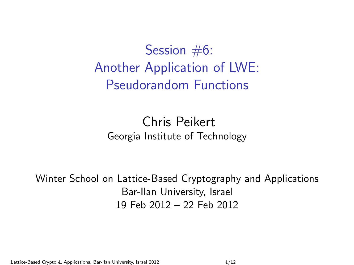Session #6: Another Application of LWE: Pseudorandom Functions

#### Chris Peikert Georgia Institute of Technology

Winter School on Lattice-Based Cryptography and Applications Bar-Ilan University, Israel 19 Feb 2012 – 22 Feb 2012

Lattice-Based Crypto & Applications, Bar-Ilan University, Israel 2012 112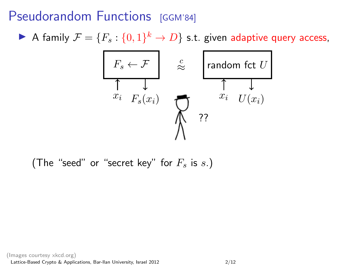### Pseudorandom Functions [GGM'84]

A family  $\mathcal{F} = \{F_s : \{0,1\}^k \to D\}$  s.t. given adaptive query access,



(The "seed" or "secret key" for  $F_s$  is s.)

(Images courtesy xkcd.org)

Lattice-Based Crypto & Applications, Bar-Ilan University, Israel 2012 2/12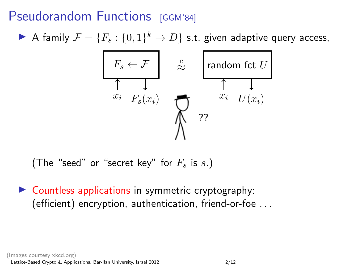### Pseudorandom Functions [GGM'84]

 $\blacktriangleright$  A family  $\mathcal{F} = \{F_s : \{0,1\}^k \to D\}$  s.t. given adaptive query access,



(The "seed" or "secret key" for  $F_s$  is s.)

 $\triangleright$  Countless applications in symmetric cryptography: (efficient) encryption, authentication, friend-or-foe . . .

(Images courtesy xkcd.org)

Lattice-Based Crypto & Applications, Bar-Ilan University, Israel 2012 2/12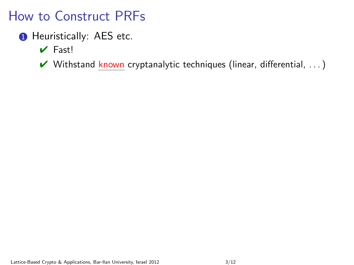- **1** Heuristically: AES etc.
	- $\vee$  Fast!
	- $\vee$  Withstand known cryptanalytic techniques (linear, differential, ...)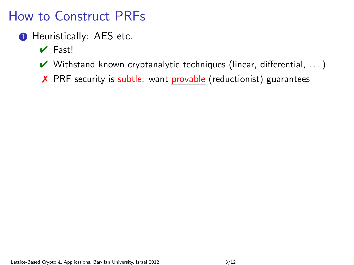- **1** Heuristically: AES etc.
	- $\vee$  Fast!
	- $\vee$  Withstand known cryptanalytic techniques (linear, differential, ...)
	- ✗ PRF security is subtle: want provable (reductionist) guarantees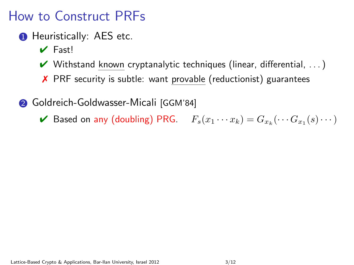- **1** Heuristically: AES etc.
	- $\vee$  Fast!
	- $\vee$  Withstand known cryptanalytic techniques (linear, differential, ...)
	- ✗ PRF security is subtle: want provable (reductionist) guarantees

**2** Goldreich-Goldwasser-Micali [GGM'84]

 $\blacktriangleright$  Based on any (doubling) PRG.  $F_s(x_1 \cdots x_k) = G_{x_k}(\cdots G_{x_1}(s) \cdots)$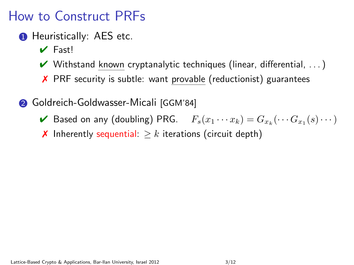- **1** Heuristically: AES etc.
	- $\vee$  Fast!
	- $\vee$  Withstand known cryptanalytic techniques (linear, differential, ...)
	- ✗ PRF security is subtle: want provable (reductionist) guarantees
- **2** Goldreich-Goldwasser-Micali [GGM'84]
	- $\blacktriangleright$  Based on any (doubling) PRG.  $F_s(x_1 \cdots x_k) = G_{x_k}(\cdots G_{x_1}(s) \cdots)$
	- **★** Inherently sequential:  $\geq k$  iterations (circuit depth)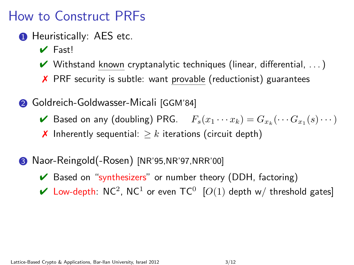- **1** Heuristically: AES etc.
	- $\vee$  Fast!
	- $\vee$  Withstand known cryptanalytic techniques (linear, differential, ...)
	- ✗ PRF security is subtle: want provable (reductionist) guarantees
- 2 Goldreich-Goldwasser-Micali [GGM'84]
	- $\blacktriangleright$  Based on any (doubling) PRG.  $F_s(x_1 \cdots x_k) = G_{x_k}(\cdots G_{x_1}(s) \cdots)$
	- **★** Inherently sequential:  $\geq k$  iterations (circuit depth)
- 3 Naor-Reingold(-Rosen) [NR'95,NR'97,NRR'00]
	- $\vee$  Based on "synthesizers" or number theory (DDH, factoring)
	- $\checkmark$  Low-depth: NC<sup>2</sup>, NC<sup>1</sup> or even TC<sup>0</sup> [O(1) depth w/ threshold gates]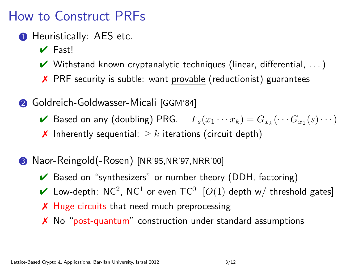- **1** Heuristically: AES etc.
	- $\vee$  Fast!
	- $\vee$  Withstand known cryptanalytic techniques (linear, differential, ...)
	- ✗ PRF security is subtle: want provable (reductionist) guarantees
- 2 Goldreich-Goldwasser-Micali [GGM'84]
	- $\blacktriangleright$  Based on any (doubling) PRG.  $F_s(x_1 \cdots x_k) = G_{x_k}(\cdots G_{x_1}(s) \cdots)$
	- **★** Inherently sequential:  $\geq k$  iterations (circuit depth)
- 3 Naor-Reingold(-Rosen) [NR'95,NR'97,NRR'00]
	- $\vee$  Based on "synthesizers" or number theory (DDH, factoring)
	- ► Low-depth: NC<sup>2</sup>, NC<sup>1</sup> or even TC<sup>0</sup> [O(1) depth w/ threshold gates]
	- X Huge circuits that need much preprocessing
	- ✗ No "post-quantum" construction under standard assumptions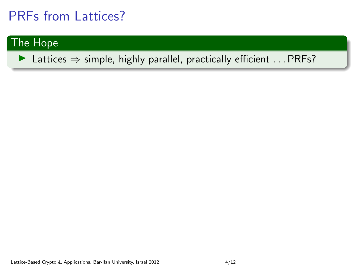#### The Hope

▶ Lattices  $\Rightarrow$  simple, highly parallel, practically efficient ... PRFs?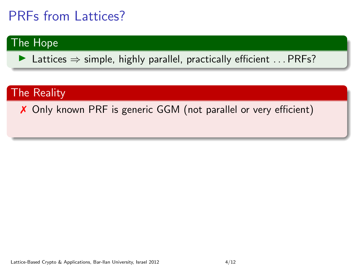#### The Hope

 $\triangleright$  Lattices  $\Rightarrow$  simple, highly parallel, practically efficient ... PRFs?

#### The Reality

✗ Only known PRF is generic GGM (not parallel or very efficient)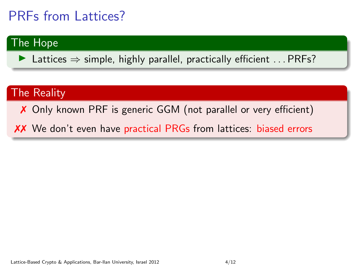#### The Hope

 $\triangleright$  Lattices  $\Rightarrow$  simple, highly parallel, practically efficient ... PRFs?

#### The Reality

✗ Only known PRF is generic GGM (not parallel or very efficient)

✗✗ We don't even have practical PRGs from lattices: biased errors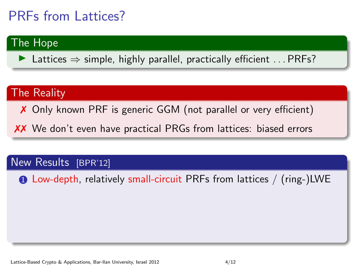#### The Hope

 $\triangleright$  Lattices  $\Rightarrow$  simple, highly parallel, practically efficient ... PRFs?

#### The Reality

✗ Only known PRF is generic GGM (not parallel or very efficient)

✗✗ We don't even have practical PRGs from lattices: biased errors

#### New Results [BPR'12]

**1** Low-depth, relatively small-circuit PRFs from lattices / (ring-)LWE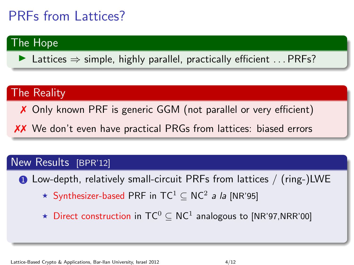#### The Hope

 $\triangleright$  Lattices  $\Rightarrow$  simple, highly parallel, practically efficient ... PRFs?

#### The Reality

✗ Only known PRF is generic GGM (not parallel or very efficient)

✗✗ We don't even have practical PRGs from lattices: biased errors

#### New Results [BPR'12]

1 Low-depth, relatively small-circuit PRFs from lattices / (ring-)LWE

- ★ Synthesizer-based PRF in TC $^1$   $\subseteq$  NC $^2$  *a la* [NR'95]
- ★ Direct construction in  $TC^0 \subseteq NC^1$  analogous to [NR'97,NRR'00]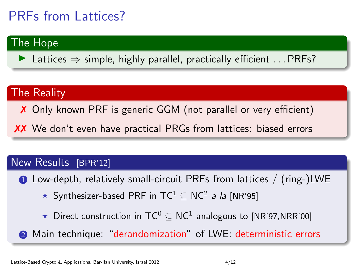#### The Hope

 $\triangleright$  Lattices  $\Rightarrow$  simple, highly parallel, practically efficient ... PRFs?

#### The Reality

✗ Only known PRF is generic GGM (not parallel or very efficient)

✗✗ We don't even have practical PRGs from lattices: biased errors

#### New Results [BPR'12]

1 Low-depth, relatively small-circuit PRFs from lattices / (ring-)LWE

- ★ Synthesizer-based PRF in TC $^1$   $\subseteq$  NC $^2$  *a la* [NR'95]
- ★ Direct construction in  $TC^0 \subseteq NC^1$  analogous to [NR'97,NRR'00]
- **2** Main technique: "derandomization" of LWE: deterministic errors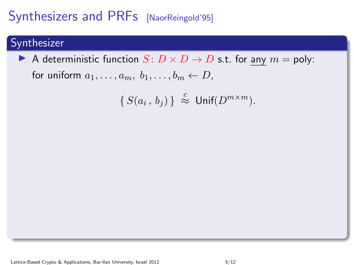#### Synthesizer

A deterministic function  $S: D \times D \to D$  s.t. for any  $m = \text{poly}:$ 

for uniform  $a_1, \ldots, a_m, b_1, \ldots, b_m \leftarrow D$ ,

$$
\{S(a_i, b_j)\}\,\stackrel{c}{\approx}\, \textsf{Unif}(D^{m\times m}).
$$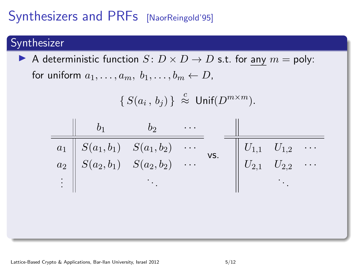#### Synthesizer

A deterministic function  $S: D \times D \to D$  s.t. for any  $m = \text{poly}$ : for uniform  $a_1, \ldots, a_m, b_1, \ldots, b_m \leftarrow D$ ,

$$
\{S(a_i, b_j)\}\overset{c}{\approx} \textsf{Unif}(D^{m \times m}).
$$

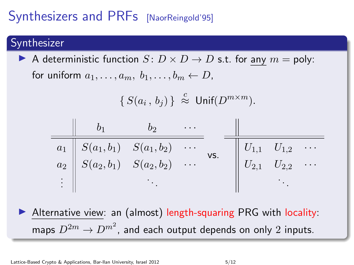#### Synthesizer

A deterministic function  $S: D \times D \to D$  s.t. for any  $m = \text{poly}$ : for uniform  $a_1, \ldots, a_m, b_1, \ldots, b_m \leftarrow D$ ,

$$
\{S(a_i, b_j)\}\overset{c}{\approx} \textsf{Unif}(D^{m \times m}).
$$

| $b_1$    | $b_2$         | ...           |          |
|----------|---------------|---------------|----------|
| $a_1$    | $S(a_1, b_1)$ | $S(a_1, b_2)$ | ...      |
| $a_2$    | $S(a_2, b_1)$ | $S(a_2, b_2)$ | ...      |
| $\vdots$ | $\vdots$      | $\vdots$      | $\vdots$ |

Alternative view: an (almost) length-squaring PRG with locality: maps  $D^{2m}\to D^{m^2}$ , and each output depends on only  $2$  inputs.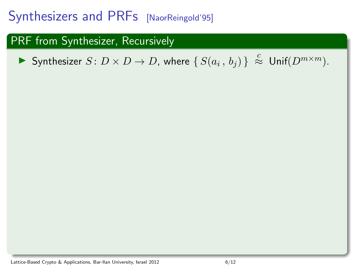#### PRF from Synthesizer, Recursively

▶ Synthesizer  $S: D \times D \to D$ , where  $\{S(a_i, b_j)\}\stackrel{c}{\approx} \textsf{Unif}(D^{m \times m})$ .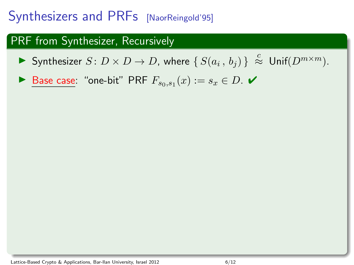#### PRF from Synthesizer, Recursively

▶ Synthesizer  $S: D \times D \to D$ , where  $\{S(a_i, b_j)\}\stackrel{c}{\approx} \textsf{Unif}(D^{m \times m})$ .

▶ Base case: "one-bit" PRF  $F_{s_0,s_1}(x) := s_x \in D$ .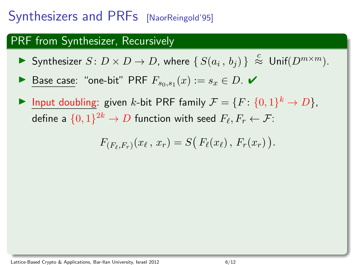#### PRF from Synthesizer, Recursively

- ▶ Synthesizer  $S: D \times D \to D$ , where  $\{S(a_i, b_j)\}\stackrel{c}{\approx} \textsf{Unif}(D^{m \times m})$ .
- ▶ Base case: "one-bit" PRF  $F_{s_0,s_1}(x) := s_x \in D$ .
- Input doubling: given k-bit PRF family  $\mathcal{F} = \{F: \{0,1\}^k \to D\},\$ define a  $\{0,1\}^{2k} \to D$  function with seed  $F_\ell, F_r \leftarrow \mathcal{F}$ :

$$
F_{(F_{\ell},F_r)}(x_{\ell}, x_r) = S(F_{\ell}(x_{\ell}), F_r(x_r)).
$$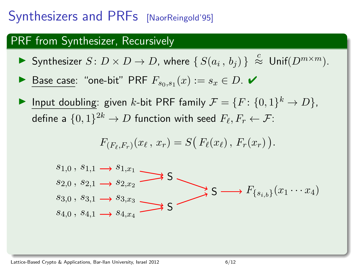#### PRF from Synthesizer, Recursively

- ▶ Synthesizer  $S: D \times D \to D$ , where  $\{S(a_i, b_j)\}\stackrel{c}{\approx} \textsf{Unif}(D^{m \times m})$ .
- ▶ Base case: "one-bit" PRF  $F_{s_0,s_1}(x) := s_x \in D$ .
- Input doubling: given k-bit PRF family  $\mathcal{F} = \{F: \{0,1\}^k \to D\}$ , define a  $\{0,1\}^{2k} \to D$  function with seed  $F_\ell, F_r \leftarrow \mathcal{F}$ :

$$
F_{(F_{\ell},F_r)}(x_{\ell}, x_r) = S(F_{\ell}(x_{\ell}), F_r(x_r)).
$$

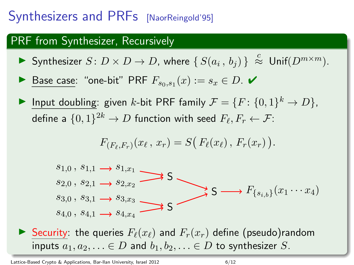#### PRF from Synthesizer, Recursively

- ▶ Synthesizer  $S: D \times D \to D$ , where  $\{S(a_i, b_j)\}\stackrel{c}{\approx} \textsf{Unif}(D^{m \times m})$ .
- ▶ Base case: "one-bit" PRF  $F_{s_0,s_1}(x) := s_x \in D$ .
- Input doubling: given k-bit PRF family  $\mathcal{F} = \{F: \{0,1\}^k \to D\}$ , define a  $\{0,1\}^{2k} \to D$  function with seed  $F_\ell, F_r \leftarrow \mathcal{F}$ :

$$
F_{(F_{\ell},F_r)}(x_{\ell}, x_r) = S(F_{\ell}(x_{\ell}), F_r(x_r)).
$$



Security: the queries  $F_{\ell}(x_{\ell})$  and  $F_{r}(x_{r})$  define (pseudo)random inputs  $a_1, a_2, \ldots \in D$  and  $b_1, b_2, \ldots \in D$  to synthesizer S.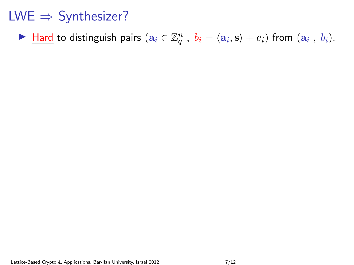► Hard to distinguish pairs  $(a_i \in \mathbb{Z}_q^n$ ,  $b_i = \langle a_i, s \rangle + e_i)$  from  $(a_i, b_i)$ .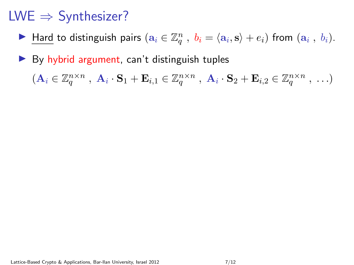► Hard to distinguish pairs  $(a_i \in \mathbb{Z}_q^n$ ,  $b_i = \langle a_i, s \rangle + e_i)$  from  $(a_i, b_i)$ .

 $\triangleright$  By hybrid argument, can't distinguish tuples

 $(\mathbf{A}_i \in \mathbb{Z}_q^{n \times n} , \ \mathbf{A}_i \cdot \mathbf{S}_1 + \mathbf{E}_{i,1} \in \mathbb{Z}_q^{n \times n} , \ \mathbf{A}_i \cdot \mathbf{S}_2 + \mathbf{E}_{i,2} \in \mathbb{Z}_q^{n \times n} , \ \ldots)$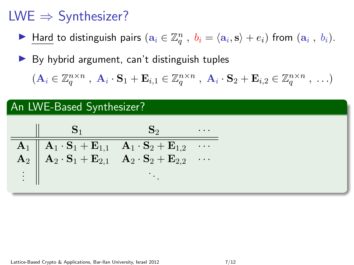► Hard to distinguish pairs  $(a_i \in \mathbb{Z}_q^n$ ,  $b_i = \langle a_i, s \rangle + e_i)$  from  $(a_i, b_i)$ .

 $\triangleright$  By hybrid argument, can't distinguish tuples

 $(\mathbf{A}_i \in \mathbb{Z}_q^{n \times n} , \ \mathbf{A}_i \cdot \mathbf{S}_1 + \mathbf{E}_{i,1} \in \mathbb{Z}_q^{n \times n} , \ \mathbf{A}_i \cdot \mathbf{S}_2 + \mathbf{E}_{i,2} \in \mathbb{Z}_q^{n \times n} , \ \ldots)$ 

#### An LWE-Based Synthesizer?

|      | $\mathbf{S}_1$                                                                                                                                                                                                                                                                                                                |  |
|------|-------------------------------------------------------------------------------------------------------------------------------------------------------------------------------------------------------------------------------------------------------------------------------------------------------------------------------|--|
|      |                                                                                                                                                                                                                                                                                                                               |  |
|      | $\begin{array}{ c c c c } \hline \mathbf{A}_1 & \mathbf{A}_1 \cdot \mathbf{S}_1 + \mathbf{E}_{1,1} & \mathbf{A}_1 \cdot \mathbf{S}_2 + \mathbf{E}_{1,2} & \cdots \ \hline \mathbf{A}_2 & \mathbf{A}_2 \cdot \mathbf{S}_1 + \mathbf{E}_{2,1} & \mathbf{A}_2 \cdot \mathbf{S}_2 + \mathbf{E}_{2,2} & \cdots \hline \end{array}$ |  |
| ÷ II |                                                                                                                                                                                                                                                                                                                               |  |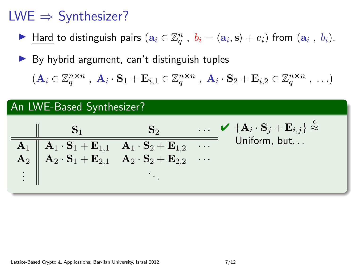- ► Hard to distinguish pairs  $(a_i \in \mathbb{Z}_q^n$ ,  $b_i = \langle a_i, s \rangle + e_i)$  from  $(a_i, b_i)$ .
- $\triangleright$  By hybrid argument, can't distinguish tuples

 $(\mathbf{A}_i \in \mathbb{Z}_q^{n \times n} , \ \mathbf{A}_i \cdot \mathbf{S}_1 + \mathbf{E}_{i,1} \in \mathbb{Z}_q^{n \times n} , \ \mathbf{A}_i \cdot \mathbf{S}_2 + \mathbf{E}_{i,2} \in \mathbb{Z}_q^{n \times n} , \ \ldots)$ 

#### An LWE-Based Synthesizer?

|                                                                                                                                                                                                                                              | $S_2$ | $\ldots \quad \mathbf{V} \ \left\{ \mathbf{A}_{i} \cdot \mathbf{S}_{j} + \mathbf{E}_{i,j} \right\} \stackrel{c}{\approx}$ |
|----------------------------------------------------------------------------------------------------------------------------------------------------------------------------------------------------------------------------------------------|-------|---------------------------------------------------------------------------------------------------------------------------|
| $\begin{array}{c cc} \bf{A}_1 & \bf{A}_1 \cdot \bf{S}_1 + \bf{E}_{1,1} & \bf{A}_1 \cdot \bf{S}_2 + \bf{E}_{1,2} & \cdots \\ \bf{A}_2 & \bf{A}_2 \cdot \bf{S}_1 + \bf{E}_{2,1} & \bf{A}_2 \cdot \bf{S}_2 + \bf{E}_{2,2} & \cdots \end{array}$ |       | Uniform, but                                                                                                              |
|                                                                                                                                                                                                                                              |       |                                                                                                                           |
|                                                                                                                                                                                                                                              |       |                                                                                                                           |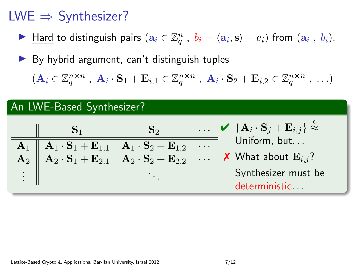- ► Hard to distinguish pairs  $(a_i \in \mathbb{Z}_q^n$ ,  $b_i = \langle a_i, s \rangle + e_i)$  from  $(a_i, b_i)$ .
- $\triangleright$  By hybrid argument, can't distinguish tuples

 $(\mathbf{A}_i \in \mathbb{Z}_q^{n \times n} , \ \mathbf{A}_i \cdot \mathbf{S}_1 + \mathbf{E}_{i,1} \in \mathbb{Z}_q^{n \times n} , \ \mathbf{A}_i \cdot \mathbf{S}_2 + \mathbf{E}_{i,2} \in \mathbb{Z}_q^{n \times n} , \ \ldots)$ 

#### An LWE-Based Synthesizer?

|  | $S_2$ | $\ldots \quad \checkmark \quad {\mathbf{A}_i \cdot \mathbf{S}_j + \mathbf{E}_{i,j} } \approx$                                                                                                                                                                                                                                                                                |
|--|-------|------------------------------------------------------------------------------------------------------------------------------------------------------------------------------------------------------------------------------------------------------------------------------------------------------------------------------------------------------------------------------|
|  |       | Uniform, but                                                                                                                                                                                                                                                                                                                                                                 |
|  |       | $\begin{array}{c cccc}\n\mathbf{A}_1 & \mathbf{A}_1 \cdot \mathbf{S}_1 + \mathbf{E}_{1,1} & \mathbf{A}_1 \cdot \mathbf{S}_2 + \mathbf{E}_{1,2} & \dots & \mathbf{Uniform, but} \\ \mathbf{A}_2 & \mathbf{A}_2 \cdot \mathbf{S}_1 + \mathbf{E}_{2,1} & \mathbf{A}_2 \cdot \mathbf{S}_2 + \mathbf{E}_{2,2} & \dots & \mathbf{X} \n\end{array}$ What about $\mathbf{E}_{i,j}$ ? |
|  |       | Synthesizer must be<br>deterministic                                                                                                                                                                                                                                                                                                                                         |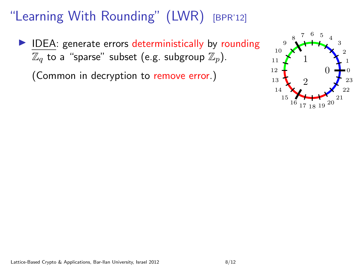$\blacktriangleright$  IDEA: generate errors deterministically by rounding  $\mathbb{Z}_q$  to a "sparse" subset (e.g. subgroup  $\mathbb{Z}_p$ ).

(Common in decryption to remove error.)

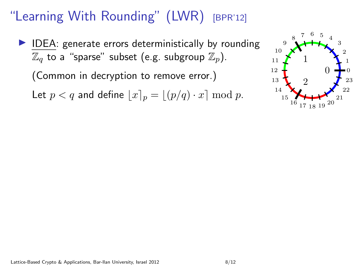$\blacktriangleright$  IDEA: generate errors deterministically by rounding  $\mathbb{Z}_q$  to a "sparse" subset (e.g. subgroup  $\mathbb{Z}_p$ ).

(Common in decryption to remove error.)

Let  $p < q$  and define  $|x|_p = |(p/q) \cdot x] \bmod p$ .

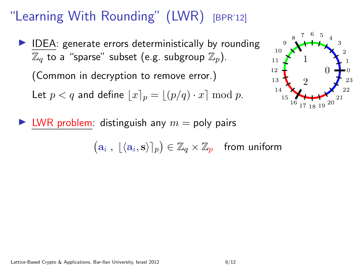$\blacktriangleright$  IDEA: generate errors deterministically by rounding  $\mathbb{Z}_q$  to a "sparse" subset (e.g. subgroup  $\mathbb{Z}_n$ ).

(Common in decryption to remove error.)

Let  $p < q$  and define  $|x|_p = |(p/q) \cdot x| \bmod p$ .



 $\blacktriangleright$  LWR problem: distinguish any  $m =$  poly pairs

 $(\mathbf{a}_i, \lfloor \langle \mathbf{a}_i, \mathbf{s} \rangle \rceil_p) \in \mathbb{Z}_q \times \mathbb{Z}_p$  from uniform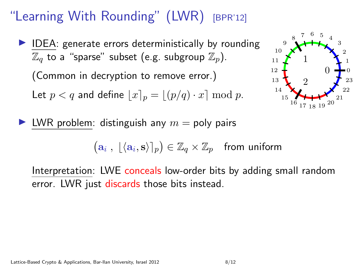$\blacktriangleright$  IDEA: generate errors deterministically by rounding  $\mathbb{Z}_q$  to a "sparse" subset (e.g. subgroup  $\mathbb{Z}_n$ ).

(Common in decryption to remove error.)

Let  $p < q$  and define  $|x|_p = |(p/q) \cdot x| \bmod p$ .



I LWR problem: distinguish any  $m =$  poly pairs

 $(\mathbf{a}_i, \lfloor \langle \mathbf{a}_i, \mathbf{s} \rangle \rceil_p) \in \mathbb{Z}_q \times \mathbb{Z}_p$  from uniform

Interpretation: LWE conceals low-order bits by adding small random error. LWR just discards those bits instead.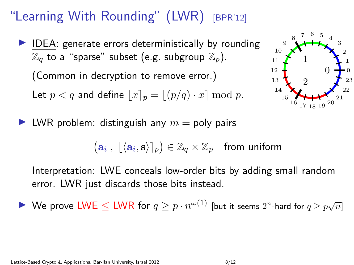$\blacktriangleright$  IDEA: generate errors deterministically by rounding  $\mathbb{Z}_q$  to a "sparse" subset (e.g. subgroup  $\mathbb{Z}_p$ ).

(Common in decryption to remove error.)

Let  $p < q$  and define  $|x|_p = |(p/q) \cdot x| \bmod p$ .



I LWR problem: distinguish any  $m =$  poly pairs

 $(\mathbf{a}_i, \lfloor \langle \mathbf{a}_i, \mathbf{s} \rangle \rceil_p) \in \mathbb{Z}_q \times \mathbb{Z}_p$  from uniform

Interpretation: LWE conceals low-order bits by adding small random error. LWR just discards those bits instead.

▶ We prove LWE  $\leq$  LWR for  $q \geq p \cdot n^{\omega(1)}$  [but it seems  $2^n$ -hard for  $q \geq p\sqrt{n}$ ]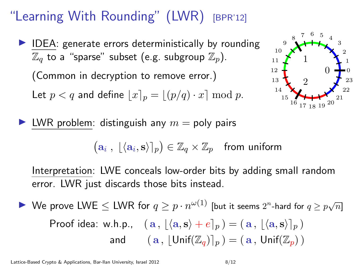$\blacktriangleright$  IDEA: generate errors deterministically by rounding  $\mathbb{Z}_q$  to a "sparse" subset (e.g. subgroup  $\mathbb{Z}_p$ ).

(Common in decryption to remove error.)

Let  $p < q$  and define  $|x|_p = |(p/q) \cdot x| \bmod p$ .



I LWR problem: distinguish any  $m =$  poly pairs

 $(\mathbf{a}_i, \lfloor \langle \mathbf{a}_i, \mathbf{s} \rangle \rceil_p) \in \mathbb{Z}_q \times \mathbb{Z}_p$  from uniform

Interpretation: LWE conceals low-order bits by adding small random error. LWR just discards those bits instead.

▶ We prove LWE  $\leq$  LWR for  $q \geq p \cdot n^{\omega(1)}$  [but it seems  $2^n$ -hard for  $q \geq p\sqrt{n}$ ] Proof idea: w.h.p.,  $(a, |\langle a, s \rangle + e]_n) = (a, |\langle a, s \rangle|_n)$ and  $(a, |\text{Unif}(\mathbb{Z}_a)|_n) = (a, \text{Unif}(\mathbb{Z}_n))$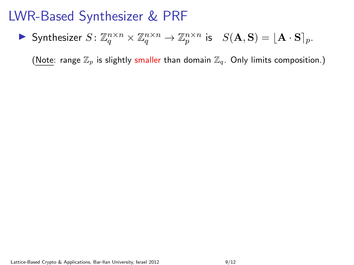### LWR-Based Synthesizer & PRF

Synthesizer  $S: \mathbb{Z}_q^{n \times n} \times \mathbb{Z}_q^{n \times n} \to \mathbb{Z}_p^{n \times n}$  is  $S(\mathbf{A}, \mathbf{S}) = [\mathbf{A} \cdot \mathbf{S}]_p$ .

(Note: range  $\mathbb{Z}_p$  is slightly smaller than domain  $\mathbb{Z}_q$ . Only limits composition.)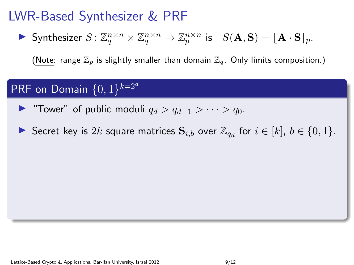### LWR-Based Synthesizer & PRF

Synthesizer  $S: \mathbb{Z}_q^{n \times n} \times \mathbb{Z}_q^{n \times n} \to \mathbb{Z}_p^{n \times n}$  is  $S(\mathbf{A}, \mathbf{S}) = [\mathbf{A} \cdot \mathbf{S}]_p$ .

(Note: range  $\mathbb{Z}_n$  is slightly smaller than domain  $\mathbb{Z}_q$ . Only limits composition.)

#### $\mathsf{PRF}$  on Domain  $\{0,1\}^{k=2^d}$

- $\triangleright$  "Tower" of public moduli  $q_d > q_{d-1} > \cdots > q_0$ .
- Secret key is  $2k$  square matrices  $S_{i,b}$  over  $\mathbb{Z}_{q_d}$  for  $i \in [k]$ ,  $b \in \{0,1\}$ .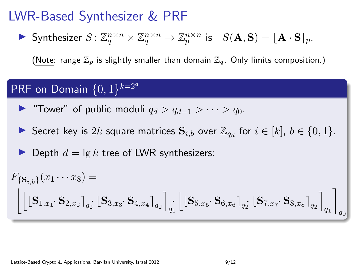### LWR-Based Synthesizer & PRF

Synthesizer  $S: \mathbb{Z}_q^{n \times n} \times \mathbb{Z}_q^{n \times n} \to \mathbb{Z}_p^{n \times n}$  is  $S(\mathbf{A}, \mathbf{S}) = [\mathbf{A} \cdot \mathbf{S}]_p$ .

(Note: range  $\mathbb{Z}_n$  is slightly smaller than domain  $\mathbb{Z}_q$ . Only limits composition.)

#### $\mathsf{PRF}$  on Domain  $\{0,1\}^{k=2^d}$

- $\triangleright$  "Tower" of public moduli  $q_d > q_{d-1} > \cdots > q_0$ .
- Secret key is  $2k$  square matrices  $S_{i,b}$  over  $\mathbb{Z}_{q_d}$  for  $i \in [k]$ ,  $b \in \{0,1\}$ .

 $\blacktriangleright$  Depth  $d = \lg k$  tree of LWR synthesizers:

$$
F_{\{\mathbf{S}_{i,b}\}}(x_1 \cdots x_8) = \begin{bmatrix} \begin{bmatrix} 1 & 0 & 0 \\ 0 & 1 & 0 \\ 0 & 1 & 0 \\ 0 & 1 & 0 \\ 0 & 0 & 0 \\ 0 & 0 & 0 \end{bmatrix} & \begin{bmatrix} 0 & 0 & 0 \\ 0 & 0 & 0 \\ 0 & 0 & 0 \\ 0 & 0 & 0 \\ 0 & 0 & 0 \end{bmatrix} & \begin{bmatrix} 0 & 0 & 0 \\ 0 & 0 & 0 \\ 0 & 0 & 0 \\ 0 & 0 & 0 \end{bmatrix} & \begin{bmatrix} 0 & 0 & 0 \\ 0 & 0 & 0 \\ 0 & 0 & 0 \\ 0 & 0 & 0 \end{bmatrix} & \begin{bmatrix} 0 & 0 & 0 \\ 0 & 0 & 0 \\ 0 & 0 & 0 \\ 0 & 0 & 0 \end{bmatrix} & \begin{bmatrix} 0 & 0 & 0 \\ 0 & 0 & 0 \\ 0 & 0 & 0 \\ 0 & 0 & 0 \end{bmatrix} & \begin{bmatrix} 0 & 0 & 0 \\ 0 & 0 & 0 \\ 0 & 0 & 0 \\ 0 & 0 & 0 \end{bmatrix} & \begin{bmatrix} 0 & 0 & 0 \\ 0 & 0 & 0 \\ 0 & 0 & 0 \\ 0 & 0 & 0 \end{bmatrix} & \begin{bmatrix} 0 & 0 & 0 \\ 0 & 0 & 0 \\ 0 & 0 & 0 \\ 0 & 0 & 0 \end{bmatrix} & \begin{bmatrix} 0 & 0 & 0 \\ 0 & 0 & 0 \\ 0 & 0 & 0 \\ 0 & 0 & 0 \end{bmatrix} & \begin{bmatrix} 0 & 0 & 0 \\ 0 & 0 & 0 \\ 0 & 0 & 0 \\ 0 & 0 & 0 \end{bmatrix} & \begin{bmatrix} 0 & 0 & 0 \\ 0 & 0 & 0 \\ 0 & 0 & 0 \\ 0 & 0 & 0 \end{bmatrix} & \begin{bmatrix} 0 & 0 & 0 \\ 0 & 0 & 0 \\ 0 & 0 & 0 \\ 0 & 0 & 0 \end{bmatrix} & \begin{bmatrix} 0 & 0 & 0 \\ 0 & 0 & 0 \\ 0 & 0 & 0 \\ 0 & 0 & 0 \end{bmatrix} & \begin{bmatrix} 0 & 0 & 0 \\ 0 & 0 & 0 \\ 0 & 0
$$

Lattice-Based Crypto & Applications, Bar-Ilan University, Israel 2012 9/12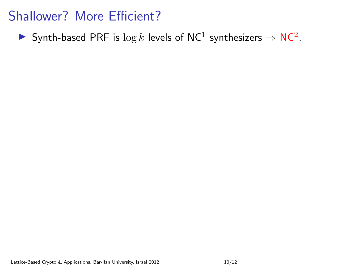Synth-based PRF is  $\log k$  levels of NC<sup>1</sup> synthesizers  $\Rightarrow$  NC<sup>2</sup>.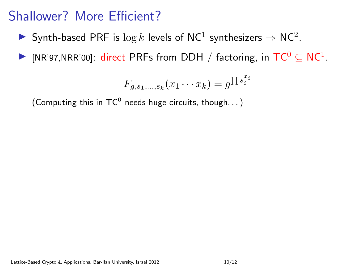- Synth-based PRF is  $\log k$  levels of NC<sup>1</sup> synthesizers  $\Rightarrow$  NC<sup>2</sup>.
- ▶ [NR'97,NRR'00]: direct PRFs from DDH / factoring, in  $TC^0 \subseteq NC^1$ .

$$
F_{g,s_1,\ldots,s_k}(x_1\cdots x_k)=g^{\prod s_i^{x_i}}
$$

(Computing this in  $\mathsf{TC}^0$  needs huge circuits, though...)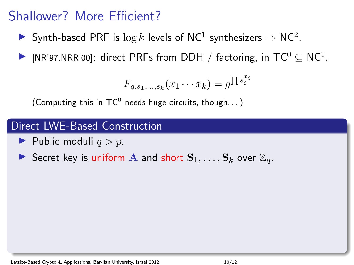- Synth-based PRF is  $\log k$  levels of NC<sup>1</sup> synthesizers  $\Rightarrow$  NC<sup>2</sup>.
- ▶ [NR'97,NRR'00]: direct PRFs from DDH / factoring, in  $TC^0 \subseteq NC^1$ .

$$
F_{g,s_1,\ldots,s_k}(x_1\cdots x_k)=g^{\prod s_i^{x_i}}
$$

(Computing this in  $\mathsf{TC}^0$  needs huge circuits, though...)

#### Direct LWE-Based Construction

- $\blacktriangleright$  Public moduli  $q > p$ .
- Secret key is uniform A and short  $S_1, \ldots, S_k$  over  $\mathbb{Z}_q$ .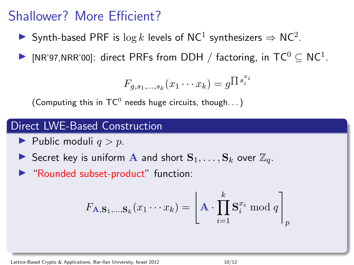- Synth-based PRF is  $\log k$  levels of NC<sup>1</sup> synthesizers  $\Rightarrow$  NC<sup>2</sup>.
- ▶ [NR'97,NRR'00]: direct PRFs from DDH / factoring, in  $TC^0 \subseteq NC^1$ .

$$
F_{g,s_1,\ldots,s_k}(x_1\cdots x_k)=g^{\prod s_i^{x_i}}
$$

(Computing this in  $\mathsf{TC}^0$  needs huge circuits, though...)

#### Direct LWE-Based Construction

- $\blacktriangleright$  Public moduli  $q > p$ .
- Secret key is uniform A and short  $S_1, \ldots, S_k$  over  $\mathbb{Z}_q$ .
- ▶ "Rounded subset-product" function:

$$
F_{\mathbf{A},\mathbf{S}_1,\dots,\mathbf{S}_k}(x_1\cdots x_k) = \left\lfloor \mathbf{A} \cdot \prod_{i=1}^k \mathbf{S}_i^{x_i} \bmod q \right\rfloor_p
$$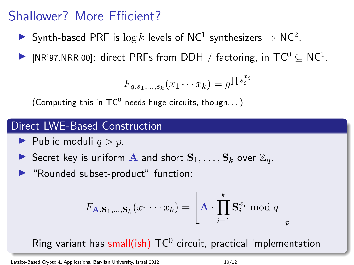- Synth-based PRF is  $\log k$  levels of NC<sup>1</sup> synthesizers  $\Rightarrow$  NC<sup>2</sup>.
- ▶ [NR'97,NRR'00]: direct PRFs from DDH / factoring, in  $TC^0 \subseteq NC^1$ .

$$
F_{g,s_1,\ldots,s_k}(x_1\cdots x_k)=g^{\prod s_i^{x_i}}
$$

(Computing this in  $\mathsf{TC}^0$  needs huge circuits, though...)

#### Direct LWE-Based Construction

- $\blacktriangleright$  Public moduli  $q > p$ .
- Secret key is uniform A and short  $S_1, \ldots, S_k$  over  $\mathbb{Z}_q$ .
- ▶ "Rounded subset-product" function:

$$
F_{\mathbf{A},\mathbf{S}_1,\ldots,\mathbf{S}_k}(x_1\cdots x_k) = \left\lfloor \mathbf{A} \cdot \prod_{i=1}^k \mathbf{S}_i^{x_i} \bmod q \right\rfloor_p
$$

Ring variant has small(ish)  $\mathsf{TC}^0$  circuit, practical implementation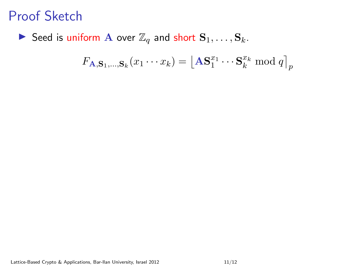Seed is uniform A over  $\mathbb{Z}_q$  and short  $\mathbf{S}_1, \ldots, \mathbf{S}_k$ .

$$
F_{\mathbf{A},\mathbf{S}_1,\ldots,\mathbf{S}_k}(x_1\cdots x_k) = \left\lfloor \mathbf{A}\mathbf{S}_1^{x_1}\cdots\mathbf{S}_k^{x_k} \bmod q \right\rfloor_p
$$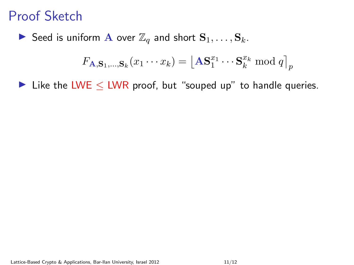Seed is uniform A over  $\mathbb{Z}_q$  and short  $\mathbf{S}_1, \ldots, \mathbf{S}_k$ .

$$
F_{\mathbf{A},\mathbf{S}_1,\ldots,\mathbf{S}_k}(x_1\cdots x_k) = \lfloor \mathbf{A}\mathbf{S}_1^{x_1}\cdots\mathbf{S}_k^{x_k} \bmod q \rfloor_p
$$

I Like the LWE  $\leq$  LWR proof, but "souped up" to handle queries.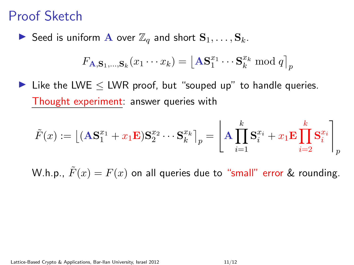Seed is uniform A over  $\mathbb{Z}_q$  and short  $\mathbf{S}_1, \ldots, \mathbf{S}_k$ .

$$
F_{\mathbf{A},\mathbf{S}_1,\ldots,\mathbf{S}_k}(x_1\cdots x_k) = \left\lfloor \mathbf{A}\mathbf{S}_1^{x_1}\cdots\mathbf{S}_k^{x_k} \bmod q \right\rfloor_p
$$

I Like the LWE  $\leq$  LWR proof, but "souped up" to handle queries. Thought experiment: answer queries with

$$
\tilde{F}(x) := \left[ (\mathbf{A}\mathbf{S}_1^{x_1} + x_1 \mathbf{E})\mathbf{S}_2^{x_2} \cdots \mathbf{S}_k^{x_k} \right]_p = \left[ \mathbf{A} \prod_{i=1}^k \mathbf{S}_i^{x_i} + x_1 \mathbf{E} \prod_{i=2}^k \mathbf{S}_i^{x_i} \right]_p
$$

W.h.p.,  $\tilde{F}(x) = F(x)$  on all queries due to "small" error & rounding.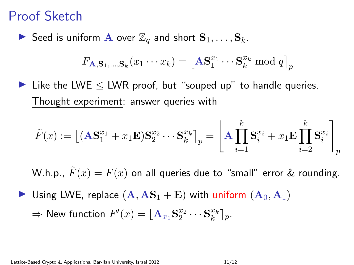Seed is uniform A over  $\mathbb{Z}_q$  and short  $\mathbf{S}_1, \ldots, \mathbf{S}_k$ .

$$
F_{\mathbf{A},\mathbf{S}_1,\ldots,\mathbf{S}_k}(x_1\cdots x_k) = \left\lfloor \mathbf{A}\mathbf{S}_1^{x_1}\cdots\mathbf{S}_k^{x_k} \bmod q \right\rfloor_p
$$

I Like the LWE  $\leq$  LWR proof, but "souped up" to handle queries. Thought experiment: answer queries with

$$
\tilde{F}(x):=\big\lfloor(\mathbf{AS}^{x_1}_1+x_1\mathbf{E})\mathbf{S}^{x_2}_2\cdots\mathbf{S}^{x_k}_k\big\rfloor_p=\left\lfloor\mathbf{A}\prod_{i=1}^k\mathbf{S}^{x_i}_i+x_1\mathbf{E}\prod_{i=2}^k\mathbf{S}^{x_i}_i\right\rfloor_p
$$

W.h.p.,  $\tilde{F}(x) = F(x)$  on all queries due to "small" error & rounding.

 $\blacktriangleright$  Using LWE, replace  $(\mathbf{A}, \mathbf{AS}_1 + \mathbf{E})$  with uniform  $(\mathbf{A}_0, \mathbf{A}_1)$ 

 $\Rightarrow$  New function  $F'(x) = \lfloor \mathbf{A}_{x_1} \mathbf{S}_2^{x_2} \cdots \mathbf{S}_k^{x_k} \rceil_p.$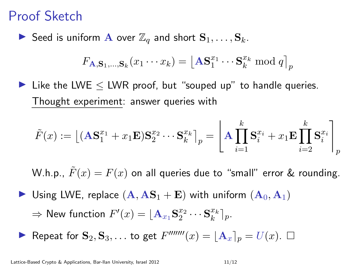Seed is uniform A over  $\mathbb{Z}_q$  and short  $\mathbf{S}_1, \ldots, \mathbf{S}_k$ .

$$
F_{\mathbf{A},\mathbf{S}_1,\ldots,\mathbf{S}_k}(x_1\cdots x_k) = \left\lfloor \mathbf{A}\mathbf{S}_1^{x_1}\cdots\mathbf{S}_k^{x_k} \bmod q \right\rfloor_p
$$

I Like the LWE  $\leq$  LWR proof, but "souped up" to handle queries. Thought experiment: answer queries with

$$
\tilde{F}(x) := \left\lfloor (\mathbf{A}\mathbf{S}_1^{x_1} + x_1\mathbf{E})\mathbf{S}_2^{x_2} \cdots \mathbf{S}_k^{x_k}\right\rfloor_p = \left\lfloor \mathbf{A} \prod_{i=1}^k \mathbf{S}_i^{x_i} + x_1\mathbf{E} \prod_{i=2}^k \mathbf{S}_i^{x_i}\right\rfloor_p
$$

W.h.p.,  $\tilde{F}(x) = F(x)$  on all queries due to "small" error & rounding.

- $\blacktriangleright$  Using LWE, replace  $(\mathbf{A}, \mathbf{AS}_1 + \mathbf{E})$  with uniform  $(\mathbf{A}_0, \mathbf{A}_1)$  $\Rightarrow$  New function  $F'(x) = \lfloor \mathbf{A}_{x_1} \mathbf{S}_2^{x_2} \cdots \mathbf{S}_k^{x_k} \rceil_p.$
- Repeat for  $S_2, S_3, \ldots$  to get  $F''''''(x) = \lfloor A_x \rfloor_p = U(x)$ .  $\Box$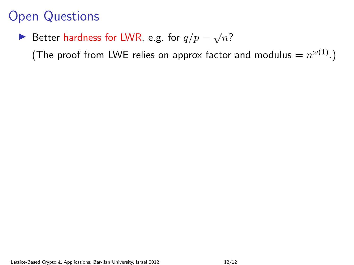▶ Better hardness for LWR, e.g. for  $q/p = \sqrt{n}$ ?

(The proof from LWE relies on approx factor and modulus  $=n^{\omega(1)}.$ )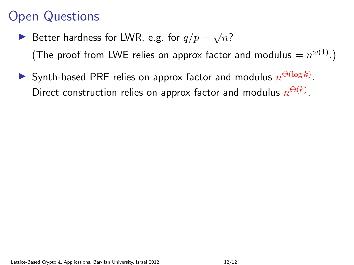- ▶ Better hardness for LWR, e.g. for  $q/p = \sqrt{n}$ ? (The proof from LWE relies on approx factor and modulus  $=n^{\omega(1)}.$ )
- Synth-based PRF relies on approx factor and modulus  $n^{\Theta(\log k)}$ . Direct construction relies on approx factor and modulus  $n^{\Theta(k)}.$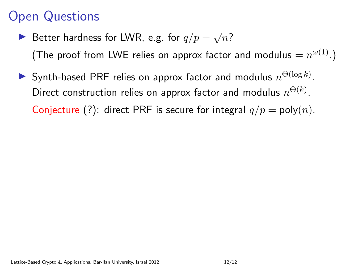- ▶ Better hardness for LWR, e.g. for  $q/p = \sqrt{n}$ ? (The proof from LWE relies on approx factor and modulus  $=n^{\omega(1)}.$ )
- Synth-based PRF relies on approx factor and modulus  $n^{\Theta(\log k)}$ . Direct construction relies on approx factor and modulus  $n^{\Theta(k)}.$ Conjecture (?): direct PRF is secure for integral  $q/p = \text{poly}(n)$ .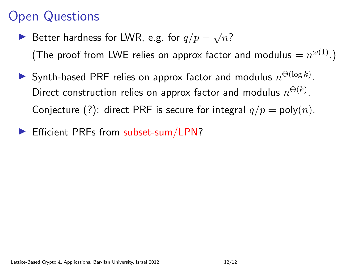- ▶ Better hardness for LWR, e.g. for  $q/p = \sqrt{n}$ ? (The proof from LWE relies on approx factor and modulus  $=n^{\omega(1)}.$ )
- Synth-based PRF relies on approx factor and modulus  $n^{\Theta(\log k)}$ . Direct construction relies on approx factor and modulus  $n^{\Theta(k)}.$ Conjecture (?): direct PRF is secure for integral  $q/p = \text{poly}(n)$ .
- $\blacktriangleright$  Efficient PRFs from subset-sum/LPN?